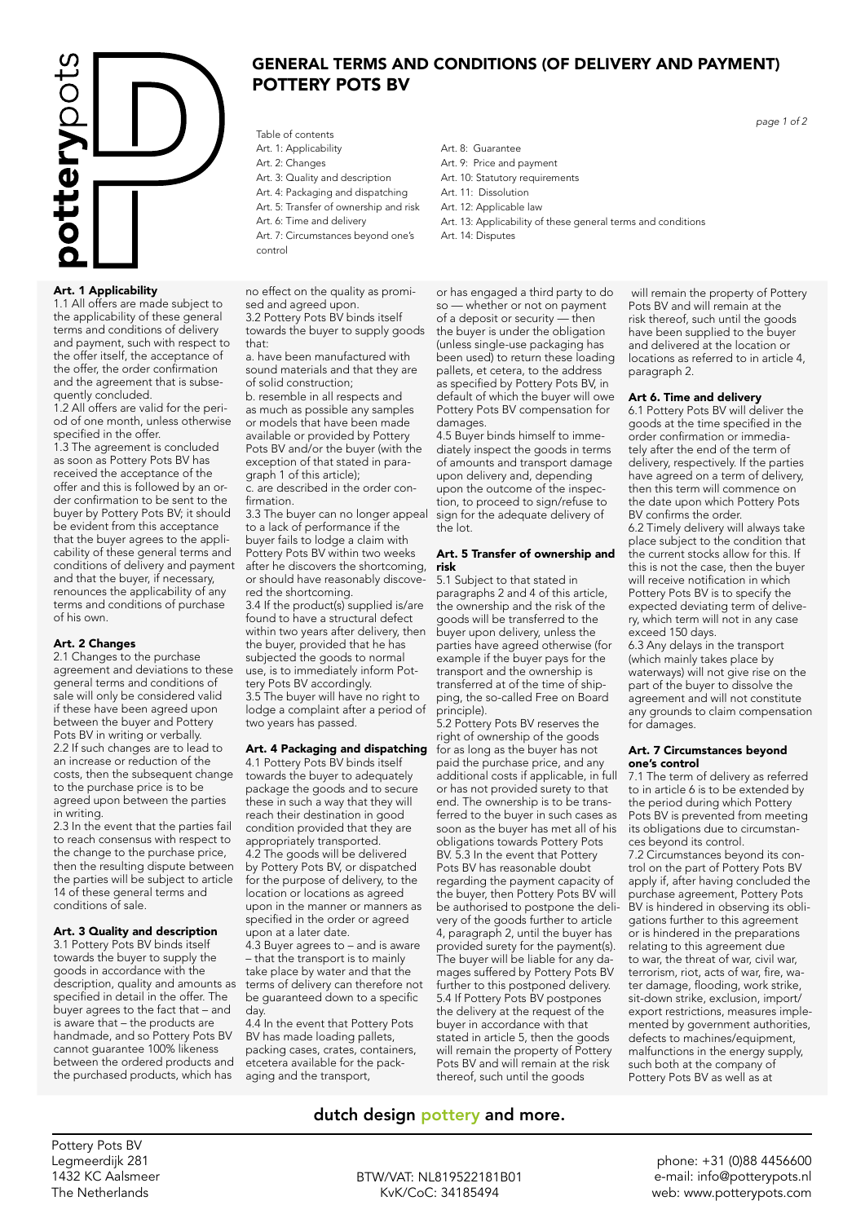

## Art. 1 Applicability

1.1 All offers are made subject to the applicability of these general terms and conditions of delivery and payment, such with respect to the offer itself, the acceptance of the offer, the order confirmation and the agreement that is subsequently concluded.

1.2 All offers are valid for the period of one month, unless otherwise specified in the offer.

1.3 The agreement is concluded as soon as Pottery Pots BV has received the acceptance of the offer and this is followed by an order confirmation to be sent to the buyer by Pottery Pots BV; it should be evident from this acceptance that the buyer agrees to the applicability of these general terms and conditions of delivery and payment and that the buyer, if necessary, renounces the applicability of any terms and conditions of purchase of his own.

### Art. 2 Changes

2.1 Changes to the purchase agreement and deviations to these general terms and conditions of sale will only be considered valid if these have been agreed upon between the buyer and Pottery Pots BV in writing or verbally. 2.2 If such changes are to lead to an increase or reduction of the costs, then the subsequent change to the purchase price is to be agreed upon between the parties in writing.

2.3 In the event that the parties fail to reach consensus with respect to the change to the purchase price, then the resulting dispute between the parties will be subject to article 14 of these general terms and conditions of sale.

### Art. 3 Quality and description

3.1 Pottery Pots BV binds itself towards the buyer to supply the goods in accordance with the description, quality and amounts as specified in detail in the offer. The buyer agrees to the fact that – and is aware that – the products are handmade, and so Pottery Pots BV cannot guarantee 100% likeness between the ordered products and the purchased products, which has

Table of contents Art. 1: Applicability

- Art. 2: Changes
- Art. 3: Quality and description
- Art. 4: Packaging and dispatching

POTTERY POTS BV

- Art. 5: Transfer of ownership and risk
- Art. 6: Time and delivery
- Art. 7: Circumstances beyond one's control

no effect on the quality as promised and agreed upon. 3.2 Pottery Pots BV binds itself towards the buyer to supply goods that:

a. have been manufactured with sound materials and that they are of solid construction;

b. resemble in all respects and as much as possible any samples or models that have been made available or provided by Pottery Pots BV and/or the buyer (with the exception of that stated in paragraph 1 of this article);

c. are described in the order confirmation.

3.3 The buyer can no longer appeal to a lack of performance if the buyer fails to lodge a claim with Pottery Pots BV within two weeks after he discovers the shortcoming, or should have reasonably discovered the shortcoming. 3.4 If the product(s) supplied is/are found to have a structural defect within two years after delivery, then the buyer, provided that he has subjected the goods to normal use, is to immediately inform Pottery Pots BV accordingly.

3.5 The buyer will have no right to lodge a complaint after a period of two years has passed.

### Art. 4 Packaging and dispatching

4.1 Pottery Pots BV binds itself towards the buyer to adequately package the goods and to secure these in such a way that they will reach their destination in good condition provided that they are appropriately transported. 4.2 The goods will be delivered by Pottery Pots BV, or dispatched for the purpose of delivery, to the location or locations as agreed upon in the manner or manners as specified in the order or agreed upon at a later date.

4.3 Buyer agrees to – and is aware – that the transport is to mainly take place by water and that the terms of delivery can therefore not be guaranteed down to a specific day.

4.4 In the event that Pottery Pots BV has made loading pallets, packing cases, crates, containers, etcetera available for the packaging and the transport,

Art. 8: Guarantee Art. 9: Price and payment Art. 10: Statutory requirements Art. 11: Dissolution

GENERAL TERMS AND CONDITIONS (OF DELIVERY AND PAYMENT)

- Art. 12: Applicable law
- Art. 13: Applicability of these general terms and conditions
- Art. 14: Disputes

or has engaged a third party to do so — whether or not on payment of a deposit or security — then the buyer is under the obligation (unless single-use packaging has been used) to return these loading pallets, et cetera, to the address as specified by Pottery Pots BV, in default of which the buyer will owe Pottery Pots BV compensation for damages

4.5 Buyer binds himself to immediately inspect the goods in terms of amounts and transport damage upon delivery and, depending upon the outcome of the inspection, to proceed to sign/refuse to sign for the adequate delivery of the lot.

### Art. 5 Transfer of ownership and risk

5.1 Subject to that stated in paragraphs 2 and 4 of this article, the ownership and the risk of the goods will be transferred to the buyer upon delivery, unless the parties have agreed otherwise (for example if the buyer pays for the transport and the ownership is transferred at of the time of shipping, the so-called Free on Board principle).

5.2 Pottery Pots BV reserves the right of ownership of the goods for as long as the buyer has not paid the purchase price, and any additional costs if applicable, in full or has not provided surety to that end. The ownership is to be transferred to the buyer in such cases as soon as the buyer has met all of his obligations towards Pottery Pots BV. 5.3 In the event that Pottery Pots BV has reasonable doubt regarding the payment capacity of the buyer, then Pottery Pots BV will be authorised to postpone the delivery of the goods further to article 4, paragraph 2, until the buyer has provided surety for the payment(s). The buyer will be liable for any damages suffered by Pottery Pots BV further to this postponed delivery. 5.4 If Pottery Pots BV postpones the delivery at the request of the buyer in accordance with that stated in article 5, then the goods will remain the property of Pottery Pots BV and will remain at the risk thereof, such until the goods

### will remain the property of Pottery Pots BV and will remain at the risk thereof, such until the goods have been supplied to the buyer and delivered at the location or locations as referred to in article 4, paragraph 2.

### Art 6. Time and delivery

6.1 Pottery Pots BV will deliver the goods at the time specified in the order confirmation or immediately after the end of the term of delivery, respectively. If the parties have agreed on a term of delivery, then this term will commence on the date upon which Pottery Pots BV confirms the order.

6.2 Timely delivery will always take place subject to the condition that the current stocks allow for this. If this is not the case, then the buyer will receive notification in which Pottery Pots BV is to specify the expected deviating term of delivery, which term will not in any case exceed 150 days.

6.3 Any delays in the transport (which mainly takes place by waterways) will not give rise on the part of the buyer to dissolve the agreement and will not constitute any grounds to claim compensation for damages.

### Art. 7 Circumstances beyond one's control

7.1 The term of delivery as referred to in article 6 is to be extended by the period during which Pottery Pots BV is prevented from meeting its obligations due to circumstances beyond its control.

7.2 Circumstances beyond its control on the part of Pottery Pots BV apply if, after having concluded the purchase agreement, Pottery Pots BV is hindered in observing its obligations further to this agreement or is hindered in the preparations relating to this agreement due to war, the threat of war, civil war, terrorism, riot, acts of war, fire, water damage, flooding, work strike, sit-down strike, exclusion, import/ export restrictions, measures implemented by government authorities, defects to machines/equipment, malfunctions in the energy supply, such both at the company of Pottery Pots BV as well as at

# dutch design pottery and more.

Pottery Pots BV Legmeerdijk 281 1432 KC Aalsmeer The Netherlands

BTW/VAT: NL819522181B01 KvK/CoC: 34185494

*page 1 of 2*